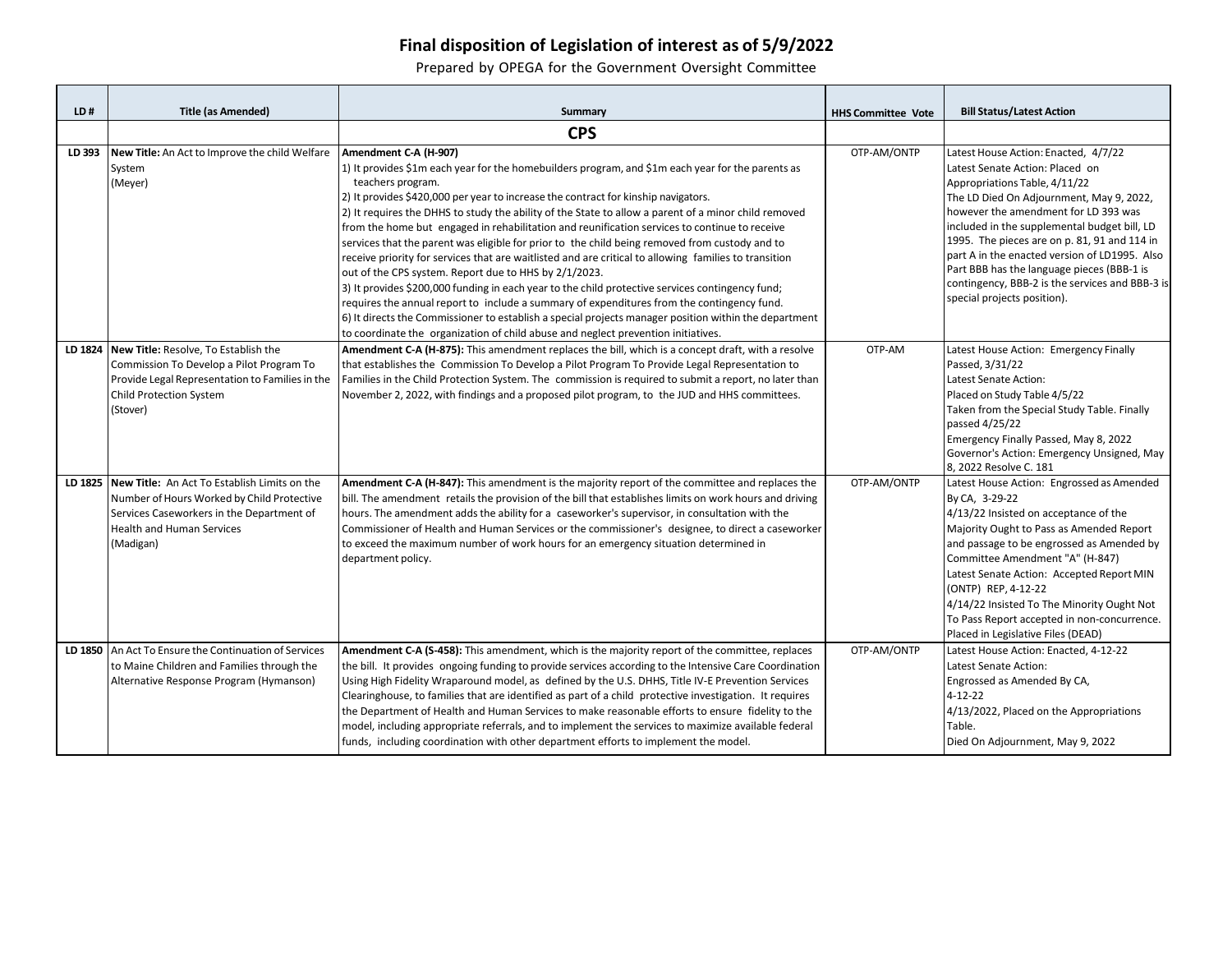## **Final disposition of Legislation of interest as of 5/9/2022**

Prepared by OPEGA for the Government Oversight Committee

| LD#    | <b>Title (as Amended)</b>                                                                                                                                                                        | <b>Summary</b>                                                                                                                                                                                                                                                                                                                                                                                                                                                                                                                                                                                                                                                                                                                                                                                                                                                                                                                                                                                                                                                                                                     | <b>HHS Committee Vote</b> | <b>Bill Status/Latest Action</b>                                                                                                                                                                                                                                                                                                                                                                                                                                              |
|--------|--------------------------------------------------------------------------------------------------------------------------------------------------------------------------------------------------|--------------------------------------------------------------------------------------------------------------------------------------------------------------------------------------------------------------------------------------------------------------------------------------------------------------------------------------------------------------------------------------------------------------------------------------------------------------------------------------------------------------------------------------------------------------------------------------------------------------------------------------------------------------------------------------------------------------------------------------------------------------------------------------------------------------------------------------------------------------------------------------------------------------------------------------------------------------------------------------------------------------------------------------------------------------------------------------------------------------------|---------------------------|-------------------------------------------------------------------------------------------------------------------------------------------------------------------------------------------------------------------------------------------------------------------------------------------------------------------------------------------------------------------------------------------------------------------------------------------------------------------------------|
|        |                                                                                                                                                                                                  | <b>CPS</b>                                                                                                                                                                                                                                                                                                                                                                                                                                                                                                                                                                                                                                                                                                                                                                                                                                                                                                                                                                                                                                                                                                         |                           |                                                                                                                                                                                                                                                                                                                                                                                                                                                                               |
| LD 393 | New Title: An Act to Improve the child Welfare<br>System<br>(Meyer)                                                                                                                              | Amendment C-A (H-907)<br>1) It provides \$1m each year for the homebuilders program, and \$1m each year for the parents as<br>teachers program.<br>2) It provides \$420,000 per year to increase the contract for kinship navigators.<br>2) It requires the DHHS to study the ability of the State to allow a parent of a minor child removed<br>from the home but engaged in rehabilitation and reunification services to continue to receive<br>services that the parent was eligible for prior to the child being removed from custody and to<br>receive priority for services that are waitlisted and are critical to allowing families to transition<br>out of the CPS system. Report due to HHS by 2/1/2023.<br>3) It provides \$200,000 funding in each year to the child protective services contingency fund;<br>requires the annual report to include a summary of expenditures from the contingency fund.<br>6) It directs the Commissioner to establish a special projects manager position within the department<br>to coordinate the organization of child abuse and neglect prevention initiatives. | OTP-AM/ONTP               | Latest House Action: Enacted, 4/7/22<br>Latest Senate Action: Placed on<br>Appropriations Table, 4/11/22<br>The LD Died On Adjournment, May 9, 2022,<br>however the amendment for LD 393 was<br>included in the supplemental budget bill, LD<br>1995. The pieces are on p. 81, 91 and 114 in<br>part A in the enacted version of LD1995. Also<br>Part BBB has the language pieces (BBB-1 is<br>contingency, BBB-2 is the services and BBB-3 is<br>special projects position). |
|        | LD 1824 New Title: Resolve, To Establish the<br>Commission To Develop a Pilot Program To<br>Provide Legal Representation to Families in the<br><b>Child Protection System</b><br>(Stover)        | Amendment C-A (H-875): This amendment replaces the bill, which is a concept draft, with a resolve<br>that establishes the Commission To Develop a Pilot Program To Provide Legal Representation to<br>Families in the Child Protection System. The commission is required to submit a report, no later than<br>November 2, 2022, with findings and a proposed pilot program, to the JUD and HHS committees.                                                                                                                                                                                                                                                                                                                                                                                                                                                                                                                                                                                                                                                                                                        | OTP-AM                    | Latest House Action: Emergency Finally<br>Passed, 3/31/22<br>Latest Senate Action:<br>Placed on Study Table 4/5/22<br>Taken from the Special Study Table. Finally<br>passed 4/25/22<br>Emergency Finally Passed, May 8, 2022<br>Governor's Action: Emergency Unsigned, May<br>8, 2022 Resolve C. 181                                                                                                                                                                          |
|        | LD 1825 New Title: An Act To Establish Limits on the<br>Number of Hours Worked by Child Protective<br>Services Caseworkers in the Department of<br><b>Health and Human Services</b><br>(Madigan) | Amendment C-A (H-847): This amendment is the majority report of the committee and replaces the<br>bill. The amendment retails the provision of the bill that establishes limits on work hours and driving<br>hours. The amendment adds the ability for a caseworker's supervisor, in consultation with the<br>Commissioner of Health and Human Services or the commissioner's designee, to direct a caseworker<br>to exceed the maximum number of work hours for an emergency situation determined in<br>department policy.                                                                                                                                                                                                                                                                                                                                                                                                                                                                                                                                                                                        | OTP-AM/ONTP               | Latest House Action: Engrossed as Amended<br>By CA, 3-29-22<br>4/13/22 Insisted on acceptance of the<br>Majority Ought to Pass as Amended Report<br>and passage to be engrossed as Amended by<br>Committee Amendment "A" (H-847)<br>Latest Senate Action: Accepted Report MIN<br>(ONTP) REP, 4-12-22<br>4/14/22 Insisted To The Minority Ought Not<br>To Pass Report accepted in non-concurrence.<br>Placed in Legislative Files (DEAD)                                       |
|        | LD 1850   An Act To Ensure the Continuation of Services<br>to Maine Children and Families through the<br>Alternative Response Program (Hymanson)                                                 | Amendment C-A (S-458): This amendment, which is the majority report of the committee, replaces<br>the bill. It provides ongoing funding to provide services according to the Intensive Care Coordination<br>Using High Fidelity Wraparound model, as defined by the U.S. DHHS, Title IV-E Prevention Services<br>Clearinghouse, to families that are identified as part of a child protective investigation. It requires<br>the Department of Health and Human Services to make reasonable efforts to ensure fidelity to the<br>model, including appropriate referrals, and to implement the services to maximize available federal<br>funds, including coordination with other department efforts to implement the model.                                                                                                                                                                                                                                                                                                                                                                                         | OTP-AM/ONTP               | Latest House Action: Enacted, 4-12-22<br>Latest Senate Action:<br>Engrossed as Amended By CA,<br>$4 - 12 - 22$<br>4/13/2022, Placed on the Appropriations<br>Table.<br>Died On Adjournment, May 9, 2022                                                                                                                                                                                                                                                                       |